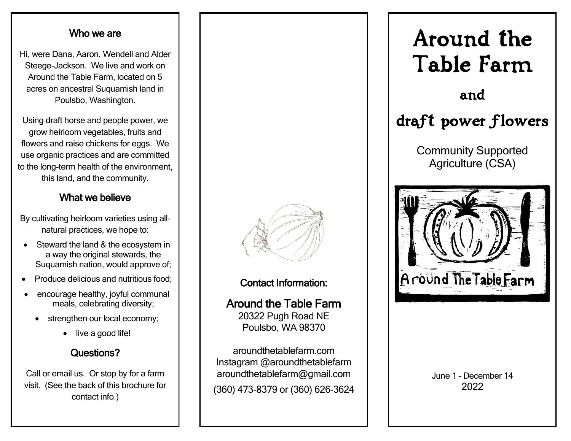#### Who we are

Hi, were Dana, Aaron, Wendell and Alder Steege-Jackson. We live and work on Around the Table Farm, located on 5 acres on ancestral Suquamish land in Poulsbo, Washington.

Using draft horse and people power, we grow heirloom vegetables, fruits and flowers and raise chickens for eggs. We use organic practices and are committed to the long-term health of the environment, this land, and the community.

# What we believe

By cultivating heirloom varieties using allnatural practices, we hope to:

- Steward the land & the ecosystem in a way the original stewards, the Suquamish nation, would approve of;
- Produce delicious and nutritious food;
- encourage healthy, joyful communal meals, celebrating diversity;
	- strengthen our local economy;
		- live a good life!

# Questions?

Call or email us. Or stop by for a farm visit. (See the back of this brochure for contact info.)



## Contact Information:

Around the Table Farm 20322 Pugh Road NE Poulsbo, WA 98370

aroundthetablefarm.com Instagram @aroundthetablefarm aroundthetablefarm@gmail.com (360) 473-8379 or (360) 626-3624



June 1 – December 14 2022